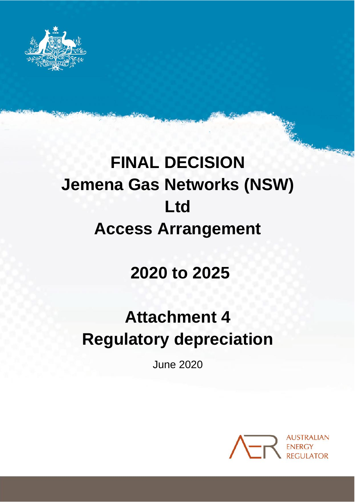

# **FINAL DECISION Jemena Gas Networks (NSW) Ltd Access Arrangement**

# **2020 to 2025**

# **Attachment 4 Regulatory depreciation**

June 2020

0 Attachment 4: Regulatory depreciation | Final decision – Jemena Gas Networks (NSW) Ltd Access



**Service Service**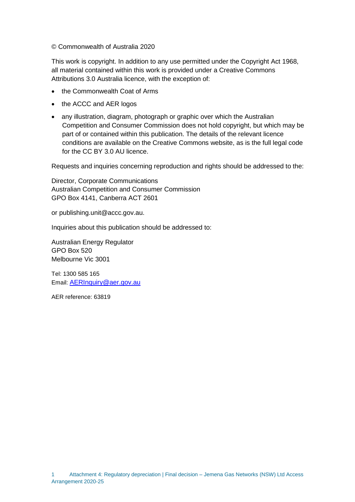© Commonwealth of Australia 2020

This work is copyright. In addition to any use permitted under the Copyright Act 1968, all material contained within this work is provided under a Creative Commons Attributions 3.0 Australia licence, with the exception of:

- the Commonwealth Coat of Arms
- the ACCC and AER logos
- any illustration, diagram, photograph or graphic over which the Australian Competition and Consumer Commission does not hold copyright, but which may be part of or contained within this publication. The details of the relevant licence conditions are available on the Creative Commons website, as is the full legal code for the CC BY 3.0 AU licence.

Requests and inquiries concerning reproduction and rights should be addressed to the:

Director, Corporate Communications Australian Competition and Consumer Commission GPO Box 4141, Canberra ACT 2601

or publishing.unit@accc.gov.au.

Inquiries about this publication should be addressed to:

Australian Energy Regulator GPO Box 520 Melbourne Vic 3001

Tel: 1300 585 165 Email: [AERInquiry@aer.gov.au](mailto:AERInquiry@aer.gov.au)

AER reference: 63819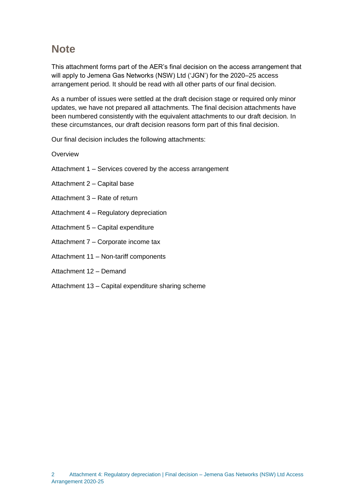## <span id="page-2-0"></span>**Note**

This attachment forms part of the AER's final decision on the access arrangement that will apply to Jemena Gas Networks (NSW) Ltd ('JGN') for the 2020–25 access arrangement period. It should be read with all other parts of our final decision.

As a number of issues were settled at the draft decision stage or required only minor updates, we have not prepared all attachments. The final decision attachments have been numbered consistently with the equivalent attachments to our draft decision. In these circumstances, our draft decision reasons form part of this final decision.

Our final decision includes the following attachments:

**Overview** 

Attachment 1 – Services covered by the access arrangement

Attachment 2 – Capital base

Attachment 3 – Rate of return

Attachment 4 – Regulatory depreciation

Attachment 5 – Capital expenditure

Attachment 7 – Corporate income tax

Attachment 11 – Non-tariff components

Attachment 12 – Demand

Attachment 13 – Capital expenditure sharing scheme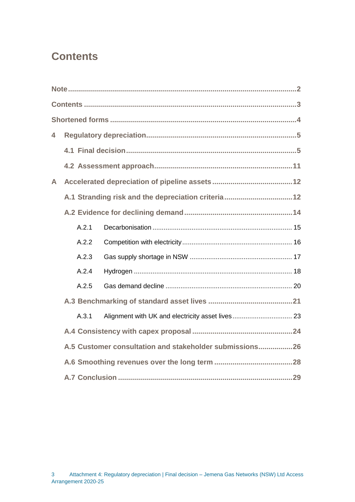## <span id="page-3-0"></span>**Contents**

| 4 |                                                         |       |                                                     |  |  |  |
|---|---------------------------------------------------------|-------|-----------------------------------------------------|--|--|--|
|   |                                                         |       |                                                     |  |  |  |
|   |                                                         |       |                                                     |  |  |  |
| A |                                                         |       |                                                     |  |  |  |
|   |                                                         |       | A.1 Stranding risk and the depreciation criteria 12 |  |  |  |
|   |                                                         |       |                                                     |  |  |  |
|   |                                                         | A.2.1 |                                                     |  |  |  |
|   |                                                         | A.2.2 |                                                     |  |  |  |
|   |                                                         | A.2.3 |                                                     |  |  |  |
|   |                                                         | A.2.4 |                                                     |  |  |  |
|   |                                                         | A.2.5 |                                                     |  |  |  |
|   |                                                         |       |                                                     |  |  |  |
|   |                                                         | A.3.1 |                                                     |  |  |  |
|   |                                                         |       |                                                     |  |  |  |
|   | A.5 Customer consultation and stakeholder submissions26 |       |                                                     |  |  |  |
|   |                                                         |       |                                                     |  |  |  |
|   |                                                         |       |                                                     |  |  |  |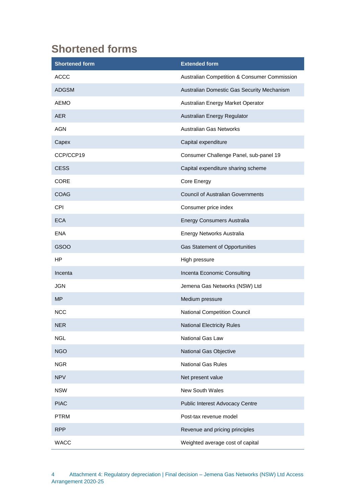# <span id="page-4-0"></span>**Shortened forms**

| Shortened form | <b>Extended form</b>                         |
|----------------|----------------------------------------------|
| <b>ACCC</b>    | Australian Competition & Consumer Commission |
| <b>ADGSM</b>   | Australian Domestic Gas Security Mechanism   |
| <b>AEMO</b>    | Australian Energy Market Operator            |
| <b>AER</b>     | Australian Energy Regulator                  |
| <b>AGN</b>     | <b>Australian Gas Networks</b>               |
| Capex          | Capital expenditure                          |
| CCP/CCP19      | Consumer Challenge Panel, sub-panel 19       |
| <b>CESS</b>    | Capital expenditure sharing scheme           |
| <b>CORE</b>    | Core Energy                                  |
| <b>COAG</b>    | <b>Council of Australian Governments</b>     |
| <b>CPI</b>     | Consumer price index                         |
| <b>ECA</b>     | <b>Energy Consumers Australia</b>            |
| <b>ENA</b>     | Energy Networks Australia                    |
| GSOO           | <b>Gas Statement of Opportunities</b>        |
| <b>HP</b>      | High pressure                                |
| Incenta        | Incenta Economic Consulting                  |
| <b>JGN</b>     | Jemena Gas Networks (NSW) Ltd                |
| <b>MP</b>      | Medium pressure                              |
| <b>NCC</b>     | <b>National Competition Council</b>          |
| <b>NER</b>     | <b>National Electricity Rules</b>            |
| <b>NGL</b>     | National Gas Law                             |
| <b>NGO</b>     | National Gas Objective                       |
| <b>NGR</b>     | <b>National Gas Rules</b>                    |
| <b>NPV</b>     | Net present value                            |
| <b>NSW</b>     | <b>New South Wales</b>                       |
| <b>PIAC</b>    | Public Interest Advocacy Centre              |
| <b>PTRM</b>    | Post-tax revenue model                       |
| <b>RPP</b>     | Revenue and pricing principles               |
| <b>WACC</b>    | Weighted average cost of capital             |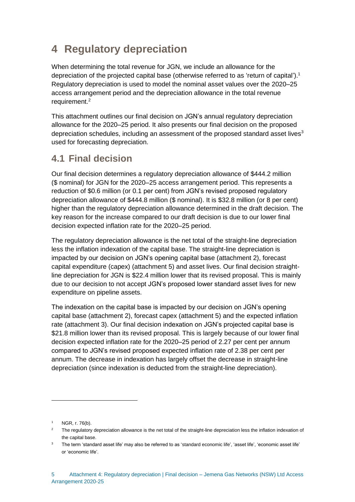# <span id="page-5-0"></span>**4 Regulatory depreciation**

When determining the total revenue for JGN, we include an allowance for the depreciation of the projected capital base (otherwise referred to as 'return of capital').<sup>1</sup> Regulatory depreciation is used to model the nominal asset values over the 2020–25 access arrangement period and the depreciation allowance in the total revenue requirement.<sup>2</sup>

This attachment outlines our final decision on JGN's annual regulatory depreciation allowance for the 2020–25 period. It also presents our final decision on the proposed depreciation schedules, including an assessment of the proposed standard asset lives<sup>3</sup> used for forecasting depreciation.

## <span id="page-5-1"></span>**4.1 Final decision**

Our final decision determines a regulatory depreciation allowance of \$444.2 million (\$ nominal) for JGN for the 2020–25 access arrangement period. This represents a reduction of \$0.6 million (or 0.1 per cent) from JGN's revised proposed regulatory depreciation allowance of \$444.8 million (\$ nominal). It is \$32.8 million (or 8 per cent) higher than the regulatory depreciation allowance determined in the draft decision. The key reason for the increase compared to our draft decision is due to our lower final decision expected inflation rate for the 2020–25 period.

The regulatory depreciation allowance is the net total of the straight-line depreciation less the inflation indexation of the capital base. The straight-line depreciation is impacted by our decision on JGN's opening capital base (attachment 2), forecast capital expenditure (capex) (attachment 5) and asset lives. Our final decision straightline depreciation for JGN is \$22.4 million lower that its revised proposal. This is mainly due to our decision to not accept JGN's proposed lower standard asset lives for new expenditure on pipeline assets.

The indexation on the capital base is impacted by our decision on JGN's opening capital base (attachment 2), forecast capex (attachment 5) and the expected inflation rate (attachment 3). Our final decision indexation on JGN's projected capital base is \$21.8 million lower than its revised proposal. This is largely because of our lower final decision expected inflation rate for the 2020–25 period of 2.27 per cent per annum compared to JGN's revised proposed expected inflation rate of 2.38 per cent per annum. The decrease in indexation has largely offset the decrease in straight-line depreciation (since indexation is deducted from the straight-line depreciation).

 $\overline{a}$ 

<sup>1</sup> NGR, r. 76(b).

<sup>&</sup>lt;sup>2</sup> The regulatory depreciation allowance is the net total of the straight-line depreciation less the inflation indexation of the capital base.

<sup>&</sup>lt;sup>3</sup> The term 'standard asset life' may also be referred to as 'standard economic life', 'asset life', 'economic asset life' or 'economic life'.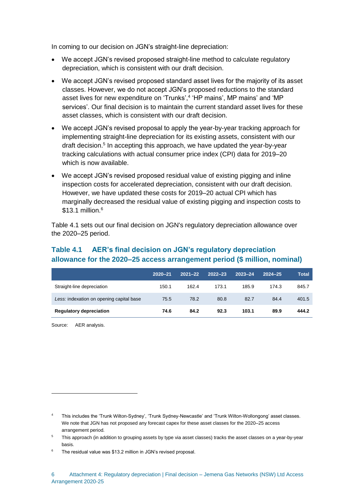In coming to our decision on JGN's straight-line depreciation:

- We accept JGN's revised proposed straight-line method to calculate regulatory depreciation, which is consistent with our draft decision.
- We accept JGN's revised proposed standard asset lives for the majority of its asset classes. However, we do not accept JGN's proposed reductions to the standard asset lives for new expenditure on 'Trunks',<sup>4</sup> 'HP mains', MP mains' and 'MP services'. Our final decision is to maintain the current standard asset lives for these asset classes, which is consistent with our draft decision.
- We accept JGN's revised proposal to apply the year-by-year tracking approach for implementing straight-line depreciation for its existing assets, consistent with our draft decision.<sup>5</sup> In accepting this approach, we have updated the year-by-year tracking calculations with actual consumer price index (CPI) data for 2019–20 which is now available.
- We accept JGN's revised proposed residual value of existing pigging and inline inspection costs for accelerated depreciation, consistent with our draft decision. However, we have updated these costs for 2019–20 actual CPI which has marginally decreased the residual value of existing pigging and inspection costs to  $$13.1$  million.<sup>6</sup>

Table 4.1 sets out our final decision on JGN's regulatory depreciation allowance over the 2020–25 period.

#### **Table 4.1 AER's final decision on JGN's regulatory depreciation allowance for the 2020–25 access arrangement period (\$ million, nominal)**

|                                          | 2020-21 | $2021 - 22$ | $2022 - 23$ | 2023-24 | $2024 - 25$ | Total |
|------------------------------------------|---------|-------------|-------------|---------|-------------|-------|
| Straight-line depreciation               | 150.1   | 162.4       | 173.1       | 185.9   | 174.3       | 845.7 |
| Less: indexation on opening capital base | 75.5    | 78.2        | 80.8        | 82.7    | 84.4        | 401.5 |
| <b>Regulatory depreciation</b>           | 74.6    | 84.2        | 92.3        | 103.1   | 89.9        | 444.2 |

Source: AER analysis.

<sup>4</sup> This includes the 'Trunk Wilton-Sydney', 'Trunk Sydney-Newcastle' and 'Trunk Wilton-Wollongong' asset classes. We note that JGN has not proposed any forecast capex for these asset classes for the 2020–25 access arrangement period.

<sup>&</sup>lt;sup>5</sup> This approach (in addition to grouping assets by type via asset classes) tracks the asset classes on a year-by-year basis.

The residual value was \$13.2 million in JGN's revised proposal.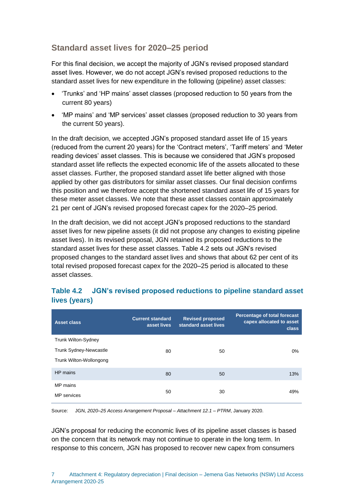#### **Standard asset lives for 2020–25 period**

For this final decision, we accept the majority of JGN's revised proposed standard asset lives. However, we do not accept JGN's revised proposed reductions to the standard asset lives for new expenditure in the following (pipeline) asset classes:

- 'Trunks' and 'HP mains' asset classes (proposed reduction to 50 years from the current 80 years)
- 'MP mains' and 'MP services' asset classes (proposed reduction to 30 years from the current 50 years).

In the draft decision, we accepted JGN's proposed standard asset life of 15 years (reduced from the current 20 years) for the 'Contract meters', 'Tariff meters' and 'Meter reading devices' asset classes. This is because we considered that JGN's proposed standard asset life reflects the expected economic life of the assets allocated to these asset classes. Further, the proposed standard asset life better aligned with those applied by other gas distributors for similar asset classes. Our final decision confirms this position and we therefore accept the shortened standard asset life of 15 years for these meter asset classes. We note that these asset classes contain approximately 21 per cent of JGN's revised proposed forecast capex for the 2020–25 period.

In the draft decision, we did not accept JGN's proposed reductions to the standard asset lives for new pipeline assets (it did not propose any changes to existing pipeline asset lives). In its revised proposal, JGN retained its proposed reductions to the standard asset lives for these asset classes. Table 4.2 sets out JGN's revised proposed changes to the standard asset lives and shows that about 62 per cent of its total revised proposed forecast capex for the 2020–25 period is allocated to these asset classes.

| <b>Asset class</b>            | <b>Current standard</b><br>asset lives | <b>Revised proposed</b><br>standard asset lives | Percentage of total forecast<br>capex allocated to asset<br><b>class</b> |
|-------------------------------|----------------------------------------|-------------------------------------------------|--------------------------------------------------------------------------|
| <b>Trunk Wilton-Sydney</b>    |                                        |                                                 |                                                                          |
| <b>Trunk Sydney-Newcastle</b> | 80                                     | 50                                              | 0%                                                                       |
| Trunk Wilton-Wollongong       |                                        |                                                 |                                                                          |
| HP mains                      | 80                                     | 50                                              | 13%                                                                      |
| MP mains                      |                                        |                                                 |                                                                          |
| <b>MP</b> services            | 50                                     | 30                                              | 49%                                                                      |

#### **Table 4.2 JGN's revised proposed reductions to pipeline standard asset lives (years)**

Source: JGN, *2020–25 Access Arrangement Proposal – Attachment 12.1 – PTRM*, January 2020.

JGN's proposal for reducing the economic lives of its pipeline asset classes is based on the concern that its network may not continue to operate in the long term. In response to this concern, JGN has proposed to recover new capex from consumers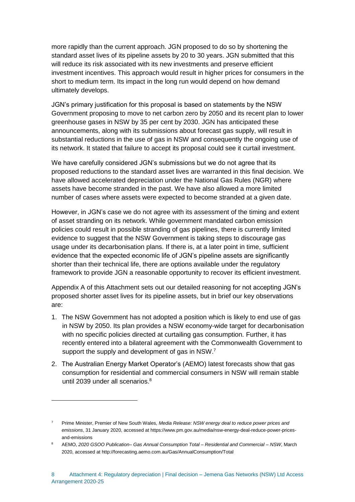more rapidly than the current approach. JGN proposed to do so by shortening the standard asset lives of its pipeline assets by 20 to 30 years. JGN submitted that this will reduce its risk associated with its new investments and preserve efficient investment incentives. This approach would result in higher prices for consumers in the short to medium term. Its impact in the long run would depend on how demand ultimately develops.

JGN's primary justification for this proposal is based on statements by the NSW Government proposing to move to net carbon zero by 2050 and its recent plan to lower greenhouse gases in NSW by 35 per cent by 2030. JGN has anticipated these announcements, along with its submissions about forecast gas supply, will result in substantial reductions in the use of gas in NSW and consequently the ongoing use of its network. It stated that failure to accept its proposal could see it curtail investment.

We have carefully considered JGN's submissions but we do not agree that its proposed reductions to the standard asset lives are warranted in this final decision. We have allowed accelerated depreciation under the National Gas Rules (NGR) where assets have become stranded in the past. We have also allowed a more limited number of cases where assets were expected to become stranded at a given date.

However, in JGN's case we do not agree with its assessment of the timing and extent of asset stranding on its network. While government mandated carbon emission policies could result in possible stranding of gas pipelines, there is currently limited evidence to suggest that the NSW Government is taking steps to discourage gas usage under its decarbonisation plans. If there is, at a later point in time, sufficient evidence that the expected economic life of JGN's pipeline assets are significantly shorter than their technical life, there are options available under the regulatory framework to provide JGN a reasonable opportunity to recover its efficient investment.

Appendix A of this Attachment sets out our detailed reasoning for not accepting JGN's proposed shorter asset lives for its pipeline assets, but in brief our key observations are:

- 1. The NSW Government has not adopted a position which is likely to end use of gas in NSW by 2050. Its plan provides a NSW economy-wide target for decarbonisation with no specific policies directed at curtailing gas consumption. Further, it has recently entered into a bilateral agreement with the Commonwealth Government to support the supply and development of gas in NSW.<sup>7</sup>
- 2. The Australian Energy Market Operator's (AEMO) latest forecasts show that gas consumption for residential and commercial consumers in NSW will remain stable until 2039 under all scenarios.<sup>8</sup>

 $\overline{a}$ 

<sup>7</sup> Prime Minister, Premier of New South Wales*, Media Release: NSW energy deal to reduce power prices and emissions*, 31 January 2020, accessed at https://www.pm.gov.au/media/nsw-energy-deal-reduce-power-pricesand-emissions

<sup>8</sup> AEMO, *2020 GSOO Publication– Gas Annual Consumption Total – Residential and Commercial – NSW*, March 2020, accessed at http://forecasting.aemo.com.au/Gas/AnnualConsumption/Total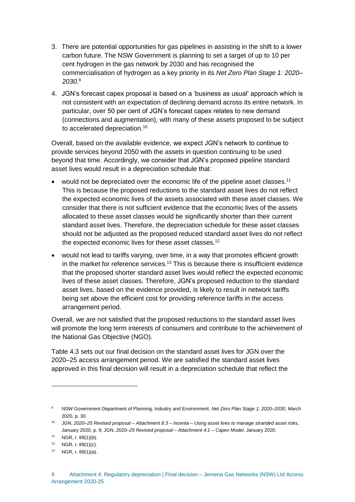- 3. There are potential opportunities for gas pipelines in assisting in the shift to a lower carbon future. The NSW Government is planning to set a target of up to 10 per cent hydrogen in the gas network by 2030 and has recognised the commercialisation of hydrogen as a key priority in its *Net Zero Plan Stage 1: 2020– 2030*. 9
- 4. JGN's forecast capex proposal is based on a 'business as usual' approach which is not consistent with an expectation of declining demand across its entire network. In particular, over 50 per cent of JGN's forecast capex relates to new demand (connections and augmentation), with many of these assets proposed to be subject to accelerated depreciation.<sup>10</sup>

Overall, based on the available evidence, we expect JGN's network to continue to provide services beyond 2050 with the assets in question continuing to be used beyond that time. Accordingly, we consider that JGN's proposed pipeline standard asset lives would result in a depreciation schedule that:

- would not be depreciated over the economic life of the pipeline asset classes.<sup>11</sup> This is because the proposed reductions to the standard asset lives do not reflect the expected economic lives of the assets associated with these asset classes. We consider that there is not sufficient evidence that the economic lives of the assets allocated to these asset classes would be significantly shorter than their current standard asset lives. Therefore, the depreciation schedule for these asset classes should not be adjusted as the proposed reduced standard asset lives do not reflect the expected economic lives for these asset classes.<sup>12</sup>
- would not lead to tariffs varying, over time, in a way that promotes efficient growth in the market for reference services.<sup>13</sup> This is because there is insufficient evidence that the proposed shorter standard asset lives would reflect the expected economic lives of these asset classes. Therefore, JGN's proposed reduction to the standard asset lives, based on the evidence provided, is likely to result in network tariffs being set above the efficient cost for providing reference tariffs in the access arrangement period.

Overall, we are not satisfied that the proposed reductions to the standard asset lives will promote the long term interests of consumers and contribute to the achievement of the National Gas Objective (NGO).

Table 4.3 sets out our final decision on the standard asset lives for JGN over the 2020–25 access arrangement period. We are satisfied the standard asset lives approved in this final decision will result in a depreciation schedule that reflect the

<sup>9</sup> NSW Government Department of Planning, Industry and Environment, *Net Zero Plan Stage 1: 2020–2030*, March 2020, p. 30.

<sup>10</sup> JGN, *2020–25 Revised proposal – Attachment 8.3 – Incenta – Using asset lives to manage stranded asset risks,* January 2020, p. 9; JGN, *2020–25 Revised proposal – Attachment 4.1 – Capex Model*, January 2020.

<sup>11</sup> NGR, r. 89(1)(b).

 $12$  NGR, r. 89(1)(c).

 $13$  NGR, r. 89(1)(a).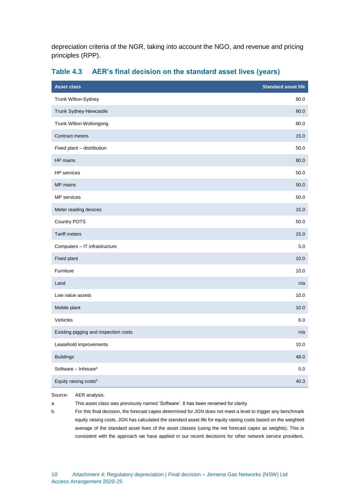depreciation criteria of the NGR, taking into account the NGO, and revenue and pricing principles (RPP).

| <b>Asset class</b>                    | <b>Standard asset life</b> |
|---------------------------------------|----------------------------|
| Trunk Wilton-Sydney                   | 80.0                       |
| Trunk Sydney-Newcastle                | 80.0                       |
| Trunk Wilton-Wollongong               | 80.0                       |
| Contract meters                       | 15.0                       |
| Fixed plant - distribution            | 50.0                       |
| HP mains                              | 80.0                       |
| HP services                           | 50.0                       |
| MP mains                              | 50.0                       |
| MP services                           | 50.0                       |
| Meter reading devices                 | 15.0                       |
| Country POTS                          | 50.0                       |
| <b>Tariff meters</b>                  | 15.0                       |
| Computers - IT infrastructure         | 5.0                        |
| Fixed plant                           | 10.0                       |
| Furniture                             | 10.0                       |
| Land                                  | n/a                        |
| Low value assets                      | 10.0                       |
| Mobile plant                          | 10.0                       |
| Vehicles                              | 6.0                        |
| Existing pigging and inspection costs | n/a                        |
| Leasehold improvements                | 10.0                       |
| <b>Buildings</b>                      | 48.0                       |
| Software - Inhouse <sup>a</sup>       | 5.0                        |
| Equity raising costs <sup>b</sup>     | 40.3                       |

**Table 4.3 AER's final decision on the standard asset lives (years)**

Source: AER analysis.

a This asset class was previously named 'Software'. It has been renamed for clarity.

b For this final decision, the forecast capex determined for JGN does not meet a level to trigger any benchmark equity raising costs. JGN has calculated the standard asset life for equity raising costs based on the weighted average of the standard asset lives of the asset classes (using the net forecast capex as weights). This is consistent with the approach we have applied in our recent decisions for other network service providers.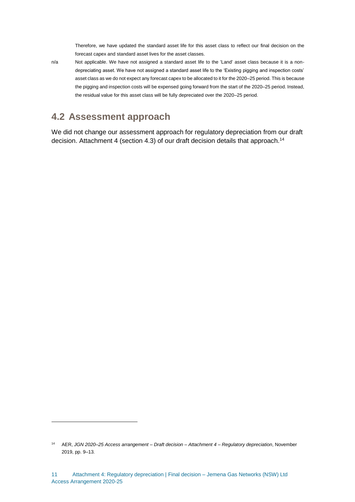Therefore, we have updated the standard asset life for this asset class to reflect our final decision on the forecast capex and standard asset lives for the asset classes.

n/a Not applicable. We have not assigned a standard asset life to the 'Land' asset class because it is a nondepreciating asset. We have not assigned a standard asset life to the 'Existing pigging and inspection costs' asset class as we do not expect any forecast capex to be allocated to it for the 2020–25 period. This is because the pigging and inspection costs will be expensed going forward from the start of the 2020–25 period. Instead, the residual value for this asset class will be fully depreciated over the 2020–25 period.

## <span id="page-11-0"></span>**4.2 Assessment approach**

 $\overline{a}$ 

We did not change our assessment approach for regulatory depreciation from our draft decision. Attachment 4 (section 4.3) of our draft decision details that approach.<sup>14</sup>

<sup>14</sup> AER, *JGN 2020–25 Access arrangement – Draft decision – Attachment 4 – Regulatory depreciation*, November 2019, pp. 9–13.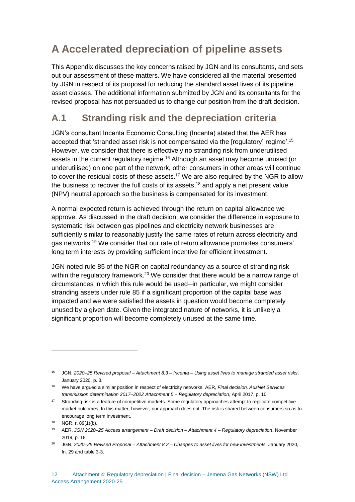# <span id="page-12-0"></span>**A Accelerated depreciation of pipeline assets**

This Appendix discusses the key concerns raised by JGN and its consultants, and sets out our assessment of these matters. We have considered all the material presented by JGN in respect of its proposal for reducing the standard asset lives of its pipeline asset classes. The additional information submitted by JGN and its consultants for the revised proposal has not persuaded us to change our position from the draft decision.

## <span id="page-12-1"></span>**A.1 Stranding risk and the depreciation criteria**

JGN's consultant Incenta Economic Consulting (Incenta) stated that the AER has accepted that 'stranded asset risk is not compensated via the [regulatory] regime'.<sup>15</sup> However, we consider that there is effectively no stranding risk from underutilised assets in the current regulatory regime.<sup>16</sup> Although an asset may become unused (or underutilised) on one part of the network, other consumers in other areas will continue to cover the residual costs of these assets.<sup>17</sup> We are also required by the NGR to allow the business to recover the full costs of its assets,<sup>18</sup> and apply a net present value (NPV) neutral approach so the business is compensated for its investment.

A normal expected return is achieved through the return on capital allowance we approve. As discussed in the draft decision, we consider the difference in exposure to systematic risk between gas pipelines and electricity network businesses are sufficiently similar to reasonably justify the same rates of return across electricity and gas networks.<sup>19</sup> We consider that our rate of return allowance promotes consumers' long term interests by providing sufficient incentive for efficient investment.

JGN noted rule 85 of the NGR on capital redundancy as a source of stranding risk within the regulatory framework.<sup>20</sup> We consider that there would be a narrow range of circumstances in which this rule would be used—in particular, we might consider stranding assets under rule 85 if a significant proportion of the capital base was impacted and we were satisfied the assets in question would become completely unused by a given date. Given the integrated nature of networks, it is unlikely a significant proportion will become completely unused at the same time.

<sup>15</sup> JGN, *2020–25 Revised proposal – Attachment 8.3 – Incenta – Using asset lives to manage stranded asset risks,* January 2020, p. 3.

<sup>16</sup> We have argued a similar position in respect of electricity networks. AER, *Final decision, AusNet Services transmission determination 2017–2022 Attachment 5 – Regulatory depreciation*, April 2017, p. 10.

<sup>&</sup>lt;sup>17</sup> Stranding risk is a feature of competitive markets. Some regulatory approaches attempt to replicate competitive market outcomes. In this matter, however, our approach does not. The risk is shared between consumers so as to encourage long term investment.

<sup>18</sup> NGR, r. 89(1)(b).

<sup>19</sup> AER, *JGN 2020–25 Access arrangement – Draft decision – Attachment 4 – Regulatory depreciation*, November 2019, p. 18.

<sup>20</sup> JGN, *2020–25 Revised Proposal – Attachment 8.2 – Changes to asset lives for new investments,* January 2020, fn. 29 and table 3-3.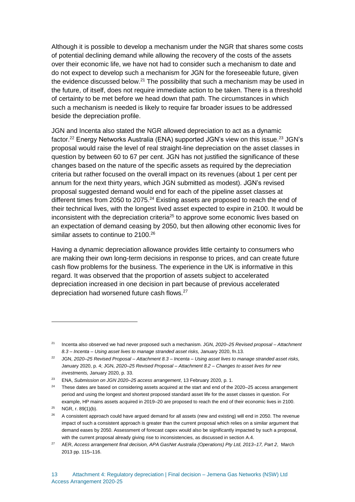Although it is possible to develop a mechanism under the NGR that shares some costs of potential declining demand while allowing the recovery of the costs of the assets over their economic life, we have not had to consider such a mechanism to date and do not expect to develop such a mechanism for JGN for the foreseeable future, given the evidence discussed below.<sup>21</sup> The possibility that such a mechanism may be used in the future, of itself, does not require immediate action to be taken. There is a threshold of certainty to be met before we head down that path. The circumstances in which such a mechanism is needed is likely to require far broader issues to be addressed beside the depreciation profile.

JGN and Incenta also stated the NGR allowed depreciation to act as a dynamic factor.<sup>22</sup> Energy Networks Australia (ENA) supported JGN's view on this issue.<sup>23</sup> JGN's proposal would raise the level of real straight-line depreciation on the asset classes in question by between 60 to 67 per cent. JGN has not justified the significance of these changes based on the nature of the specific assets as required by the depreciation criteria but rather focused on the overall impact on its revenues (about 1 per cent per annum for the next thirty years, which JGN submitted as modest). JGN's revised proposal suggested demand would end for each of the pipeline asset classes at different times from 2050 to 2075.<sup>24</sup> Existing assets are proposed to reach the end of their technical lives, with the longest lived asset expected to expire in 2100. It would be inconsistent with the depreciation criteria<sup>25</sup> to approve some economic lives based on an expectation of demand ceasing by 2050, but then allowing other economic lives for similar assets to continue to 2100.<sup>26</sup>

Having a dynamic depreciation allowance provides little certainty to consumers who are making their own long-term decisions in response to prices, and can create future cash flow problems for the business. The experience in the UK is informative in this regard. It was observed that the proportion of assets subject to accelerated depreciation increased in one decision in part because of previous accelerated depreciation had worsened future cash flows.<sup>27</sup>

<sup>21</sup> Incenta also observed we had never proposed such a mechanism. JGN, *2020–25 Revised proposal – Attachment 8.3 – Incenta – Using asset lives to manage stranded asset risks,* January 2020, fn.13.

<sup>22</sup> JGN, *2020–25 Revised Proposal – Attachment 8.3 – Incenta – Using asset lives to manage stranded asset risks,* January 2020, p. 4; JGN, *2020–25 Revised Proposal – Attachment 8.2 – Changes to asset lives for new investments,* January 2020, p. 33.

<sup>23</sup> ENA, *Submission on JGN 2020–25 access arrangement*, 13 February 2020, p. 1.

<sup>&</sup>lt;sup>24</sup> These dates are based on considering assets acquired at the start and end of the 2020–25 access arrangement period and using the longest and shortest proposed standard asset life for the asset classes in question. For example, HP mains assets acquired in 2019–20 are proposed to reach the end of their economic lives in 2100.

<sup>&</sup>lt;sup>25</sup> NGR, r. 89(1)(b).

<sup>&</sup>lt;sup>26</sup> A consistent approach could have argued demand for all assets (new and existing) will end in 2050. The revenue impact of such a consistent approach is greater than the current proposal which relies on a similar argument that demand eases by 2050. Assessment of forecast capex would also be significantly impacted by such a proposal, with the current proposal already giving rise to inconsistencies, as discussed in section [A.4.](#page-24-0)

<sup>27</sup> AER, *Access arrangement final decision, APA GasNet Australia (Operations) Pty Ltd, 2013–17, Part 2*, March 2013 pp. 115–116.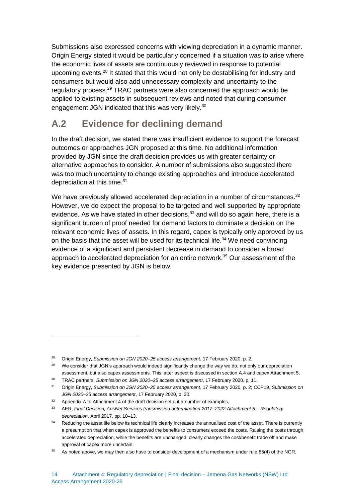Submissions also expressed concerns with viewing depreciation in a dynamic manner. Origin Energy stated it would be particularly concerned if a situation was to arise where the economic lives of assets are continuously reviewed in response to potential upcoming events.<sup>28</sup> It stated that this would not only be destabilising for industry and consumers but would also add unnecessary complexity and uncertainty to the regulatory process.<sup>29</sup> TRAC partners were also concerned the approach would be applied to existing assets in subsequent reviews and noted that during consumer engagement JGN indicated that this was very likely.<sup>30</sup>

## <span id="page-14-0"></span>**A.2 Evidence for declining demand**

In the draft decision, we stated there was insufficient evidence to support the forecast outcomes or approaches JGN proposed at this time. No additional information provided by JGN since the draft decision provides us with greater certainty or alternative approaches to consider. A number of submissions also suggested there was too much uncertainty to change existing approaches and introduce accelerated depreciation at this time.<sup>31</sup>

We have previously allowed accelerated depreciation in a number of circumstances.<sup>32</sup> However, we do expect the proposal to be targeted and well supported by appropriate evidence. As we have stated in other decisions, $33$  and will do so again here, there is a significant burden of proof needed for demand factors to dominate a decision on the relevant economic lives of assets. In this regard, capex is typically only approved by us on the basis that the asset will be used for its technical life.<sup>34</sup> We need convincing evidence of a significant and persistent decrease in demand to consider a broad approach to accelerated depreciation for an entire network.<sup>35</sup> Our assessment of the key evidence presented by JGN is below.

<sup>28</sup> Origin Energy, *Submission on JGN 2020–25 access arrangement*, 17 February 2020, p. 2.

<sup>&</sup>lt;sup>29</sup> We consider that JGN's approach would indeed significantly change the way we do, not only our depreciation assessment, but also capex assessments. This latter aspect is discussed in section A.4 and capex Attachment 5.

<sup>30</sup> TRAC partners, *Submission on JGN 2020–25 access arrangement*, 17 February 2020, p. 11.

<sup>31</sup> Origin Energy, *Submission on JGN 2020–25 access arrangement*, 17 February 2020, p. 2; CCP19, *Submission on JGN 2020–25 access arrangement*, 17 February 2020, p. 30.

 $32$  Appendix A to Attachment 4 of the draft decision set out a number of examples.

<sup>33</sup> AER, *Final Decision, AusNet Services transmission determination 2017–2022 Attachment 5 – Regulatory depreciation*, April 2017, pp. 10–13.

<sup>&</sup>lt;sup>34</sup> Reducing the asset life below its technical life clearly increases the annualised cost of the asset. There is currently a presumption that when capex is approved the benefits to consumers exceed the costs. Raising the costs through accelerated depreciation, while the benefits are unchanged, clearly changes the cost/benefit trade off and make approval of capex more uncertain.

<sup>&</sup>lt;sup>35</sup> As noted above, we may then also have to consider development of a mechanism under rule 85(4) of the NGR.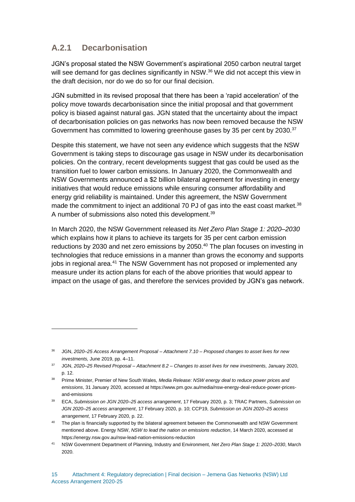### <span id="page-15-0"></span>**A.2.1 Decarbonisation**

JGN's proposal stated the NSW Government's aspirational 2050 carbon neutral target will see demand for gas declines significantly in NSW.<sup>36</sup> We did not accept this view in the draft decision, nor do we do so for our final decision.

JGN submitted in its revised proposal that there has been a 'rapid acceleration' of the policy move towards decarbonisation since the initial proposal and that government policy is biased against natural gas. JGN stated that the uncertainty about the impact of decarbonisation policies on gas networks has now been removed because the NSW Government has committed to lowering greenhouse gases by 35 per cent by 2030.<sup>37</sup>

Despite this statement, we have not seen any evidence which suggests that the NSW Government is taking steps to discourage gas usage in NSW under its decarbonisation policies. On the contrary, recent developments suggest that gas could be used as the transition fuel to lower carbon emissions. In January 2020, the Commonwealth and NSW Governments announced a \$2 billion bilateral agreement for investing in energy initiatives that would reduce emissions while ensuring consumer affordability and energy grid reliability is maintained. Under this agreement, the NSW Government made the commitment to inject an additional 70 PJ of gas into the east coast market.<sup>38</sup> A number of submissions also noted this development.<sup>39</sup>

In March 2020, the NSW Government released its *Net Zero Plan Stage 1: 2020–2030* which explains how it plans to achieve its targets for 35 per cent carbon emission reductions by 2030 and net zero emissions by 2050.<sup>40</sup> The plan focuses on investing in technologies that reduce emissions in a manner than grows the economy and supports jobs in regional area.<sup>41</sup> The NSW Government has not proposed or implemented any measure under its action plans for each of the above priorities that would appear to impact on the usage of gas, and therefore the services provided by JGN's gas network.

<sup>36</sup> JGN, *2020–25 Access Arrangement Proposal – Attachment 7.10 – Proposed changes to asset lives for new investments*, June 2019, pp. 4–11.

<sup>37</sup> JGN, *2020–25 Revised Proposal – Attachment 8.2 – Changes to asset lives for new investments,* January 2020, p. 12.

<sup>38</sup> Prime Minister, Premier of New South Wales*, Media Release: NSW energy deal to reduce power prices and emissions*, 31 January 2020, accessed at https://www.pm.gov.au/media/nsw-energy-deal-reduce-power-pricesand-emissions

<sup>39</sup> ECA, *Submission on JGN 2020–25 access arrangement*, 17 February 2020, p. 3; TRAC Partners, *Submission on JGN 2020–25 access arrangement*, 17 February 2020, p. 10; CCP19, *Submission on JGN 2020–25 access arrangement*, 17 February 2020, p. 22.

<sup>&</sup>lt;sup>40</sup> The plan is financially supported by the bilateral agreement between the Commonwealth and NSW Government mentioned above. Energy NSW, *NSW to lead the nation on emissions reduction*, 14 March 2020, accessed at https://energy.nsw.gov.au/nsw-lead-nation-emissions-reduction

<sup>41</sup> NSW Government Department of Planning, Industry and Environment, *Net Zero Plan Stage 1: 2020–2030*, March 2020.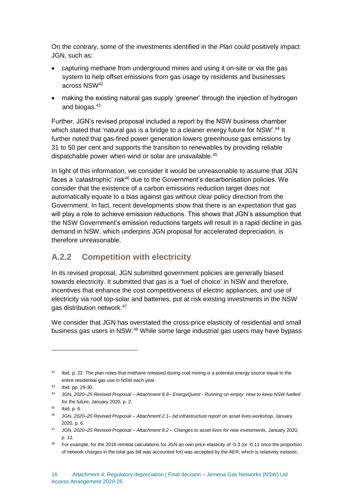On the contrary, some of the investments identified in the *Plan* could positively impact JGN, such as:

- capturing methane from underground mines and using it on-site or via the gas system to help offset emissions from gas usage by residents and businesses across NSW<sup>42</sup>
- making the existing natural gas supply 'greener' through the injection of hydrogen and biogas.<sup>43</sup>

Further, JGN's revised proposal included a report by the NSW business chamber which stated that 'natural gas is a bridge to a cleaner energy future for NSW'.<sup>44</sup> It further noted that gas-fired power generation lowers greenhouse gas emissions by 31 to 50 per cent and supports the transition to renewables by providing reliable dispatchable power when wind or solar are unavailable.<sup>45</sup>

In light of this information, we consider it would be unreasonable to assume that JGN faces a 'catastrophic' risk<sup>46</sup> due to the Government's decarbonisation policies. We consider that the existence of a carbon emissions reduction target does not automatically equate to a bias against gas without clear policy direction from the Government. In fact, recent developments show that there is an expectation that gas will play a role to achieve emission reductions. This shows that JGN's assumption that the NSW Government's emission reductions targets will result in a rapid decline in gas demand in NSW, which underpins JGN proposal for accelerated depreciation, is therefore unreasonable.

### <span id="page-16-0"></span>**A.2.2 Competition with electricity**

In its revised proposal, JGN submitted government policies are generally biased towards electricity. It submitted that gas is a 'fuel of choice' in NSW and therefore, incentives that enhance the cost competitiveness of electric appliances, and use of electricity via roof top-solar and batteries, put at risk existing investments in the NSW gas distribution network.<sup>47</sup>

We consider that JGN has overstated the cross-price elasticity of residential and small business gas users in NSW.<sup>48</sup> While some large industrial gas users may have bypass

 $42$  Ibid. p. 22. The plan notes that methane released during coal mining is a potential energy source equal to the entire residential gas use in NSW each year.

<sup>43</sup> Ibid. pp. 29-30.

<sup>44</sup> JGN, *2020–25 Revised Proposal – Attachment 8.8– EnergyQuest - Running on empty: How to keep NSW fuelled for the future,* January 2020, p. 2.

<sup>45</sup> Ibid. p. 6.

<sup>46</sup> JGN, *2020–25 Revised Proposal – Attachment 2.1– bd infrastructure report on asset lives workshop,* January 2020, p. 6.

<sup>47</sup> JGN, *2020–25 Revised Proposal – Attachment 8.2 – Changes to asset lives for new investments,* January 2020, p. 12.

<sup>48</sup> For example, for the 2018 remittal calculations for JGN an own price elasticity of -0.3 (or -0.11 once the proportion of network charges in the total gas bill was accounted for) was accepted by the AER, which is relatively inelastic.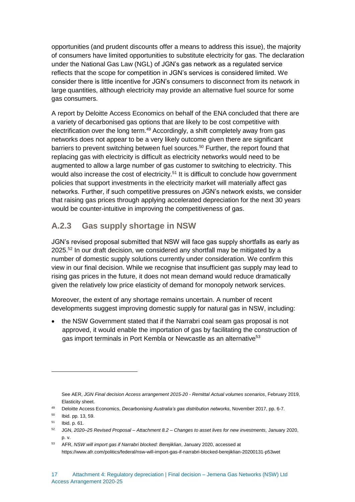opportunities (and prudent discounts offer a means to address this issue), the majority of consumers have limited opportunities to substitute electricity for gas. The declaration under the National Gas Law (NGL) of JGN's gas network as a regulated service reflects that the scope for competition in JGN's services is considered limited. We consider there is little incentive for JGN's consumers to disconnect from its network in large quantities, although electricity may provide an alternative fuel source for some gas consumers.

A report by Deloitte Access Economics on behalf of the ENA concluded that there are a variety of decarbonised gas options that are likely to be cost competitive with electrification over the long term.<sup>49</sup> Accordingly, a shift completely away from gas networks does not appear to be a very likely outcome given there are significant barriers to prevent switching between fuel sources.<sup>50</sup> Further, the report found that replacing gas with electricity is difficult as electricity networks would need to be augmented to allow a large number of gas customer to switching to electricity. This would also increase the cost of electricity.<sup>51</sup> It is difficult to conclude how government policies that support investments in the electricity market will materially affect gas networks. Further, if such competitive pressures on JGN's network exists, we consider that raising gas prices through applying accelerated depreciation for the next 30 years would be counter-intuitive in improving the competitiveness of gas.

## <span id="page-17-0"></span>**A.2.3 Gas supply shortage in NSW**

JGN's revised proposal submitted that NSW will face gas supply shortfalls as early as 2025.<sup>52</sup> In our draft decision, we considered any shortfall may be mitigated by a number of domestic supply solutions currently under consideration. We confirm this view in our final decision. While we recognise that insufficient gas supply may lead to rising gas prices in the future, it does not mean demand would reduce dramatically given the relatively low price elasticity of demand for monopoly network services.

Moreover, the extent of any shortage remains uncertain. A number of recent developments suggest improving domestic supply for natural gas in NSW, including:

• the NSW Government stated that if the Narrabri coal seam gas proposal is not approved, it would enable the importation of gas by facilitating the construction of gas import terminals in Port Kembla or Newcastle as an alternative<sup>53</sup>

See AER, *JGN Final decision Access arrangement 2015-20 - Remittal Actual volumes scenarios*, February 2019, Elasticity sheet.

<sup>49</sup> Deloitte Access Economics, *Decarbonising Australia's gas distribution networks*, November 2017, pp. 6-7.

<sup>50</sup> Ibid. pp. 13, 59.

<sup>51</sup> Ibid. p. 61.

<sup>52</sup> JGN, *2020–25 Revised Proposal – Attachment 8.2 – Changes to asset lives for new investments,* January 2020, p. v.

<sup>53</sup> AFR, *NSW will import gas if Narrabri blocked: Berejiklian*, January 2020, accessed at https://www.afr.com/politics/federal/nsw-will-import-gas-if-narrabri-blocked-berejiklian-20200131-p53wet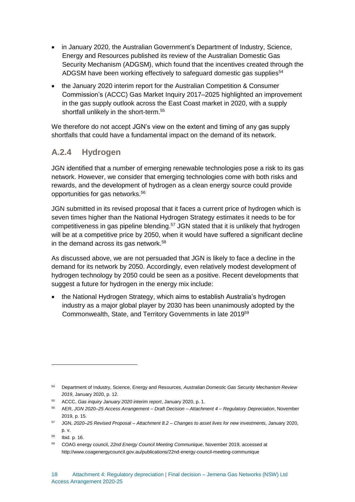- in January 2020, the Australian Government's Department of Industry, Science, Energy and Resources published its review of the Australian Domestic Gas Security Mechanism (ADGSM), which found that the incentives created through the ADGSM have been working effectively to safeguard domestic gas supplies<sup>54</sup>
- the January 2020 interim report for the Australian Competition & Consumer Commission's (ACCC) Gas Market Inquiry 2017–2025 highlighted an improvement in the gas supply outlook across the East Coast market in 2020, with a supply shortfall unlikely in the short-term.<sup>55</sup>

We therefore do not accept JGN's view on the extent and timing of any gas supply shortfalls that could have a fundamental impact on the demand of its network.

#### <span id="page-18-0"></span>**A.2.4 Hydrogen**

JGN identified that a number of emerging renewable technologies pose a risk to its gas network. However, we consider that emerging technologies come with both risks and rewards, and the development of hydrogen as a clean energy source could provide opportunities for gas networks.<sup>56</sup>

JGN submitted in its revised proposal that it faces a current price of hydrogen which is seven times higher than the National Hydrogen Strategy estimates it needs to be for competitiveness in gas pipeline blending.<sup>57</sup> JGN stated that it is unlikely that hydrogen will be at a competitive price by 2050, when it would have suffered a significant decline in the demand across its gas network.<sup>58</sup>

As discussed above, we are not persuaded that JGN is likely to face a decline in the demand for its network by 2050. Accordingly, even relatively modest development of hydrogen technology by 2050 could be seen as a positive. Recent developments that suggest a future for hydrogen in the energy mix include:

 the National Hydrogen Strategy, which aims to establish Australia's hydrogen industry as a major global player by 2030 has been unanimously adopted by the Commonwealth, State, and Territory Governments in late 2019<sup>59</sup>

<sup>54</sup> Department of Industry, Science, Energy and Resources, *Australian Domestic Gas Security Mechanism Review 2019*, January 2020, p. 12.

<sup>55</sup> ACCC, *Gas inquiry January 2020 interim report*, January 2020, p. 1.

<sup>56</sup> AER, *JGN 2020–25 Access Arrangement – Draft Decision – Attachment 4 – Regulatory Depreciation*, November 2019, p. 15.

<sup>57</sup> JGN, *2020–25 Revised Proposal – Attachment 8.2 – Changes to asset lives for new investments,* January 2020, p. v.

<sup>58</sup> Ibid. p. 16.

<sup>59</sup> COAG energy council, *22nd Energy Council Meeting Communique*, November 2019, accessed at http://www.coagenergycouncil.gov.au/publications/22nd-energy-council-meeting-communique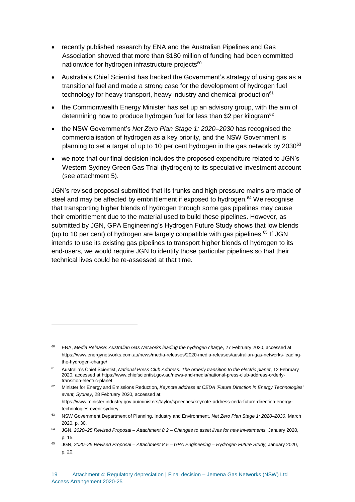- recently published research by ENA and the Australian Pipelines and Gas Association showed that more than \$180 million of funding had been committed nationwide for hydrogen infrastructure projects<sup>60</sup>
- Australia's Chief Scientist has backed the Government's strategy of using gas as a transitional fuel and made a strong case for the development of hydrogen fuel technology for heavy transport, heavy industry and chemical production<sup>61</sup>
- the Commonwealth Energy Minister has set up an advisory group, with the aim of determining how to produce hydrogen fuel for less than \$2 per kilogram<sup>62</sup>
- the NSW Government's *Net Zero Plan Stage 1: 2020–2030* has recognised the commercialisation of hydrogen as a key priority, and the NSW Government is planning to set a target of up to 10 per cent hydrogen in the gas network by 2030<sup>63</sup>
- we note that our final decision includes the proposed expenditure related to JGN's Western Sydney Green Gas Trial (hydrogen) to its speculative investment account (see attachment 5).

JGN's revised proposal submitted that its trunks and high pressure mains are made of steel and may be affected by embrittlement if exposed to hydrogen.<sup>64</sup> We recognise that transporting higher blends of hydrogen through some gas pipelines may cause their embrittlement due to the material used to build these pipelines. However, as submitted by JGN, GPA Engineering's Hydrogen Future Study shows that low blends (up to 10 per cent) of hydrogen are largely compatible with gas pipelines. $65$  If JGN intends to use its existing gas pipelines to transport higher blends of hydrogen to its end-users, we would require JGN to identify those particular pipelines so that their technical lives could be re-assessed at that time.

 $\overline{a}$ 

<sup>62</sup> Minister for Energy and Emissions Reduction, *Keynote address at CEDA 'Future Direction in Energy Technologies' event, Sydney*, 28 February 2020, accessed at: https://www.minister.industry.gov.au/ministers/taylor/speeches/keynote-address-ceda-future-direction-energytechnologies-event-sydney

<sup>&</sup>lt;sup>60</sup> ENA, *Media Release: Australian Gas Networks leading the hydrogen charge*, 27 February 2020, accessed at https://www.energynetworks.com.au/news/media-releases/2020-media-releases/australian-gas-networks-leadingthe-hydrogen-charge/

<sup>61</sup> Australia's Chief Scientist, *National Press Club Address: The orderly transition to the electric planet*, 12 February 2020, accessed at https://www.chiefscientist.gov.au/news-and-media/national-press-club-address-orderlytransition-electric-planet

<sup>63</sup> NSW Government Department of Planning, Industry and Environment, *Net Zero Plan Stage 1: 2020–2030*, March 2020, p. 30.

<sup>64</sup> JGN, *2020–25 Revised Proposal – Attachment 8.2 – Changes to asset lives for new investments,* January 2020, p. 15.

<sup>65</sup> JGN, *2020–25 Revised Proposal – Attachment 8.5 – GPA Engineering – Hydrogen Future Study,* January 2020, p. 20.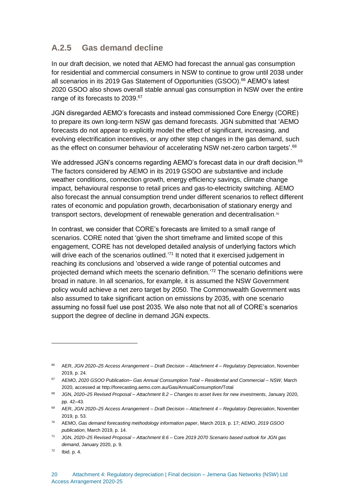### <span id="page-20-0"></span>**A.2.5 Gas demand decline**

In our draft decision, we noted that AEMO had forecast the annual gas consumption for residential and commercial consumers in NSW to continue to grow until 2038 under all scenarios in its 2019 Gas Statement of Opportunities (GSOO).<sup>66</sup> AEMO's latest 2020 GSOO also shows overall stable annual gas consumption in NSW over the entire range of its forecasts to 2039.<sup>67</sup>

JGN disregarded AEMO's forecasts and instead commissioned Core Energy (CORE) to prepare its own long-term NSW gas demand forecasts. JGN submitted that 'AEMO forecasts do not appear to explicitly model the effect of significant, increasing, and evolving electrification incentives, or any other step changes in the gas demand, such as the effect on consumer behaviour of accelerating NSW net-zero carbon targets'.<sup>68</sup>

We addressed JGN's concerns regarding AEMO's forecast data in our draft decision.<sup>69</sup> The factors considered by AEMO in its 2019 GSOO are substantive and include weather conditions, connection growth, energy efficiency savings, climate change impact, behavioural response to retail prices and gas-to-electricity switching. AEMO also forecast the annual consumption trend under different scenarios to reflect different rates of economic and population growth, decarbonisation of stationary energy and transport sectors, development of renewable generation and decentralisation.<sup>70</sup>

In contrast, we consider that CORE's forecasts are limited to a small range of scenarios. CORE noted that 'given the short timeframe and limited scope of this engagement, CORE has not developed detailed analysis of underlying factors which will drive each of the scenarios outlined.<sup>71</sup> It noted that it exercised judgement in reaching its conclusions and 'observed a wide range of potential outcomes and projected demand which meets the scenario definition.' <sup>72</sup> The scenario definitions were broad in nature. In all scenarios, for example, it is assumed the NSW Government policy would achieve a net zero target by 2050. The Commonwealth Government was also assumed to take significant action on emissions by 2035, with one scenario assuming no fossil fuel use post 2035. We also note that not all of CORE's scenarios support the degree of decline in demand JGN expects.

<sup>66</sup> AER, *JGN 2020–25 Access Arrangement – Draft Decision – Attachment 4 – Regulatory Depreciation*, November 2019, p. 24.

<sup>67</sup> AEMO, *2020 GSOO Publication– Gas Annual Consumption Total – Residential and Commercial – NSW*, March 2020, accessed at http://forecasting.aemo.com.au/Gas/AnnualConsumption/Total

<sup>68</sup> JGN, *2020–25 Revised Proposal – Attachment 8.2 – Changes to asset lives for new investments,* January 2020, pp. 42–43.

<sup>69</sup> AER, *JGN 2020–25 Access Arrangement – Draft Decision – Attachment 4 – Regulatory Depreciation*, November 2019, p. 53.

<sup>70</sup> AEMO, *Gas demand forecasting methodology information paper*, March 2019, p. 17; AEMO, *2019 GSOO publication*, March 2019, p. 14.

<sup>71</sup> JGN, *2020–25 Revised Proposal – Attachment 8.6* – Core *2019 2070 Scenario based outlook for JGN gas demand,* January 2020, p. 9.

 $72$  Ibid. p. 4.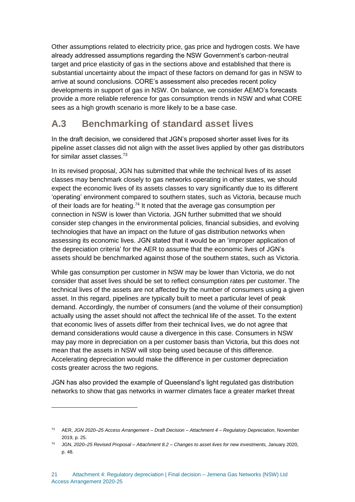Other assumptions related to electricity price, gas price and hydrogen costs. We have already addressed assumptions regarding the NSW Government's carbon-neutral target and price elasticity of gas in the sections above and established that there is substantial uncertainty about the impact of these factors on demand for gas in NSW to arrive at sound conclusions. CORE's assessment also precedes recent policy developments in support of gas in NSW. On balance, we consider AEMO's forecasts provide a more reliable reference for gas consumption trends in NSW and what CORE sees as a high growth scenario is more likely to be a base case.

## <span id="page-21-0"></span>**A.3 Benchmarking of standard asset lives**

In the draft decision, we considered that JGN's proposed shorter asset lives for its pipeline asset classes did not align with the asset lives applied by other gas distributors for similar asset classes.<sup>73</sup>

In its revised proposal, JGN has submitted that while the technical lives of its asset classes may benchmark closely to gas networks operating in other states, we should expect the economic lives of its assets classes to vary significantly due to its different 'operating' environment compared to southern states, such as Victoria, because much of their loads are for heating.<sup>74</sup> It noted that the average gas consumption per connection in NSW is lower than Victoria. JGN further submitted that we should consider step changes in the environmental policies, financial subsidies, and evolving technologies that have an impact on the future of gas distribution networks when assessing its economic lives. JGN stated that it would be an 'improper application of the depreciation criteria' for the AER to assume that the economic lives of JGN's assets should be benchmarked against those of the southern states, such as Victoria.

While gas consumption per customer in NSW may be lower than Victoria, we do not consider that asset lives should be set to reflect consumption rates per customer. The technical lives of the assets are not affected by the number of consumers using a given asset. In this regard, pipelines are typically built to meet a particular level of peak demand. Accordingly, the number of consumers (and the volume of their consumption) actually using the asset should not affect the technical life of the asset. To the extent that economic lives of assets differ from their technical lives, we do not agree that demand considerations would cause a divergence in this case. Consumers in NSW may pay more in depreciation on a per customer basis than Victoria, but this does not mean that the assets in NSW will stop being used because of this difference. Accelerating depreciation would make the difference in per customer depreciation costs greater across the two regions.

JGN has also provided the example of Queensland's light regulated gas distribution networks to show that gas networks in warmer climates face a greater market threat

 $\overline{a}$ 

<sup>73</sup> AER, *JGN 2020–25 Access Arrangement – Draft Decision – Attachment 4 – Regulatory Depreciation*, November 2019, p. 25.

<sup>74</sup> JGN, *2020–25 Revised Proposal – Attachment 8.2 – Changes to asset lives for new investments,* January 2020, p. 48.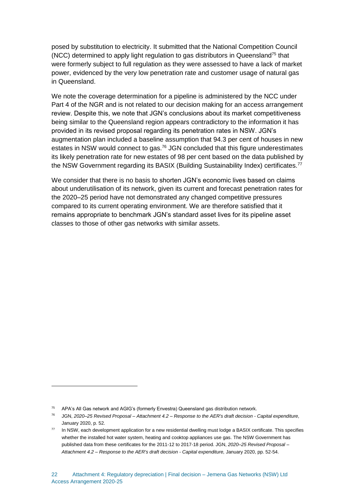posed by substitution to electricity. It submitted that the National Competition Council (NCC) determined to apply light regulation to gas distributors in Queensland<sup>75</sup> that were formerly subject to full regulation as they were assessed to have a lack of market power, evidenced by the very low penetration rate and customer usage of natural gas in Queensland.

We note the coverage determination for a pipeline is administered by the NCC under Part 4 of the NGR and is not related to our decision making for an access arrangement review. Despite this, we note that JGN's conclusions about its market competitiveness being similar to the Queensland region appears contradictory to the information it has provided in its revised proposal regarding its penetration rates in NSW. JGN's augmentation plan included a baseline assumption that 94.3 per cent of houses in new estates in NSW would connect to gas.<sup>76</sup> JGN concluded that this figure underestimates its likely penetration rate for new estates of 98 per cent based on the data published by the NSW Government regarding its BASIX (Building Sustainability Index) certificates.<sup>77</sup>

We consider that there is no basis to shorten JGN's economic lives based on claims about underutilisation of its network, given its current and forecast penetration rates for the 2020–25 period have not demonstrated any changed competitive pressures compared to its current operating environment. We are therefore satisfied that it remains appropriate to benchmark JGN's standard asset lives for its pipeline asset classes to those of other gas networks with similar assets.

<sup>75</sup> APA's All Gas network and AGIG's (formerly Envestra) Queensland gas distribution network.

<sup>76</sup> JGN, *2020–25 Revised Proposal – Attachment 4.2 – Response to the AER's draft decision - Capital expenditure,* January 2020, p. 52.

<sup>77</sup> In NSW, each development application for a new residential dwelling must lodge a BASIX certificate. This specifies whether the installed hot water system, heating and cooktop appliances use gas. The NSW Government has published data from these certificates for the 2011-12 to 2017-18 period. JGN, *2020–25 Revised Proposal – Attachment 4.2 – Response to the AER's draft decision - Capital expenditure,* January 2020, pp. 52-54.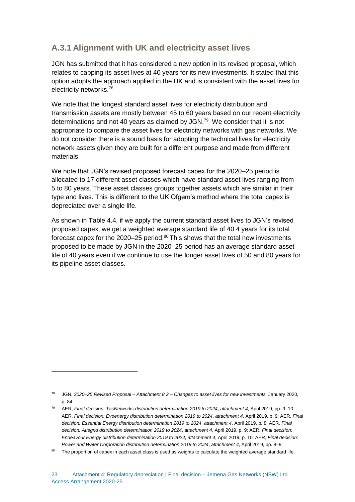### <span id="page-23-0"></span>**A.3.1 Alignment with UK and electricity asset lives**

JGN has submitted that it has considered a new option in its revised proposal, which relates to capping its asset lives at 40 years for its new investments. It stated that this option adopts the approach applied in the UK and is consistent with the asset lives for electricity networks.<sup>78</sup>

We note that the longest standard asset lives for electricity distribution and transmission assets are mostly between 45 to 60 years based on our recent electricity determinations and not 40 years as claimed by JGN.<sup>79</sup> We consider that it is not appropriate to compare the asset lives for electricity networks with gas networks. We do not consider there is a sound basis for adopting the technical lives for electricity network assets given they are built for a different purpose and made from different materials.

We note that JGN's revised proposed forecast capex for the 2020–25 period is allocated to 17 different asset classes which have standard asset lives ranging from 5 to 80 years. These asset classes groups together assets which are similar in their type and lives. This is different to the UK Ofgem's method where the total capex is depreciated over a single life.

As shown in Table 4.4, if we apply the current standard asset lives to JGN's revised proposed capex, we get a weighted average standard life of 40.4 years for its total forecast capex for the 2020–25 period.<sup>80</sup> This shows that the total new investments proposed to be made by JGN in the 2020–25 period has an average standard asset life of 40 years even if we continue to use the longer asset lives of 50 and 80 years for its pipeline asset classes.

<sup>78</sup> JGN, *2020–25 Revised Proposal – Attachment 8.2 – Changes to asset lives for new investments,* January 2020, p. 84.

<sup>79</sup> AER, *Final decision: TasNetworks distribution determination 2019 to 2024*, *attachment 4*, April 2019, pp. 9–10; AER, *Final decision: Evoenergy distribution determination 2019 to 2024*, *attachment 4*, April 2019, p. 9; AER, *Final decision: Essential Energy distribution determination 2019 to 2024*, *attachment 4*, April 2019, p. 8; AER, *Final decision: Ausgrid distribution determination 2019 to 2024*, *attachment 4*, April 2019, p. 9; AER, *Final decision: Endeavour Energy distribution determination 2019 to 2024*, *attachment 4*, April 2019, p. 10; AER, *Final decision: Power and Water Corporation distribution determination 2019 to 2024*, *attachment 4*, April 2019, pp. 8–9.

<sup>&</sup>lt;sup>80</sup> The proportion of capex in each asset class is used as weights to calculate the weighted average standard life.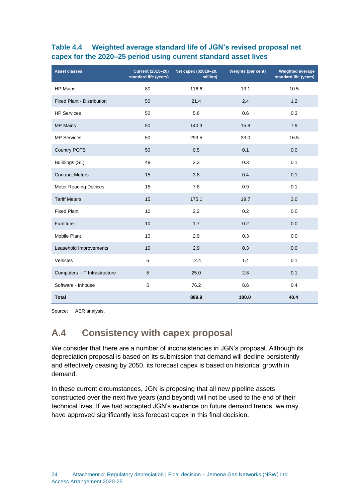#### **Table 4.4 Weighted average standard life of JGN's revised proposal net capex for the 2020–25 period using current standard asset lives**

| <b>Asset classes</b>              | <b>Current (2015-20)</b><br>standard life (years) | Net capex (\$2019-20,<br>million) | Weights (per cent) | <b>Weighted average</b><br>standard life (years) |
|-----------------------------------|---------------------------------------------------|-----------------------------------|--------------------|--------------------------------------------------|
| <b>HP Mains</b>                   | 80                                                | 116.6                             | 13.1               | 10.5                                             |
| <b>Fixed Plant - Distribution</b> | 50                                                | 21.4                              | 2.4                | 1.2                                              |
| <b>HP Services</b>                | 50                                                | 5.6                               | 0.6                | 0.3                                              |
| <b>MP Mains</b>                   | 50                                                | 140.3                             | 15.8               | 7.9                                              |
| <b>MP Services</b>                | 50                                                | 293.5                             | 33.0               | 16.5                                             |
| <b>Country POTS</b>               | 50                                                | 0.5                               | 0.1                | 0.0                                              |
| Buildings (SL)                    | 48                                                | 2.3                               | 0.3                | 0.1                                              |
| <b>Contract Meters</b>            | 15                                                | 3.8                               | 0.4                | 0.1                                              |
| <b>Meter Reading Devices</b>      | 15                                                | 7.8                               | 0.9                | 0.1                                              |
| <b>Tariff Meters</b>              | 15                                                | 175.1                             | 19.7               | 3.0                                              |
| <b>Fixed Plant</b>                | 10                                                | 2.2                               | 0.2                | 0.0                                              |
| Furniture                         | 10                                                | 1.7                               | 0.2                | 0.0                                              |
| Mobile Plant                      | 10                                                | 2.9                               | 0.3                | 0.0                                              |
| Leasehold Improvements            | 10                                                | 2.9                               | 0.3                | 0.0                                              |
| Vehicles                          | 6                                                 | 12.4                              | 1.4                | 0.1                                              |
| Computers - IT Infrastructure     | 5                                                 | 25.0                              | 2.8                | 0.1                                              |
| Software - Inhouse                | 5                                                 | 76.2                              | 8.6                | 0.4                                              |
| <b>Total</b>                      |                                                   | 889.9                             | 100.0              | 40.4                                             |

Source: AER analysis.

## <span id="page-24-0"></span>**A.4 Consistency with capex proposal**

We consider that there are a number of inconsistencies in JGN's proposal. Although its depreciation proposal is based on its submission that demand will decline persistently and effectively ceasing by 2050, its forecast capex is based on historical growth in demand.

In these current circumstances, JGN is proposing that all new pipeline assets constructed over the next five years (and beyond) will not be used to the end of their technical lives. If we had accepted JGN's evidence on future demand trends, we may have approved significantly less forecast capex in this final decision.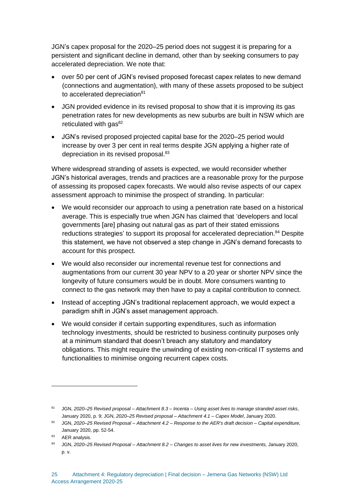JGN's capex proposal for the 2020–25 period does not suggest it is preparing for a persistent and significant decline in demand, other than by seeking consumers to pay accelerated depreciation. We note that:

- over 50 per cent of JGN's revised proposed forecast capex relates to new demand (connections and augmentation), with many of these assets proposed to be subject to accelerated depreciation<sup>81</sup>
- JGN provided evidence in its revised proposal to show that it is improving its gas penetration rates for new developments as new suburbs are built in NSW which are reticulated with  $\text{gas}^{82}$
- JGN's revised proposed projected capital base for the 2020–25 period would increase by over 3 per cent in real terms despite JGN applying a higher rate of depreciation in its revised proposal.<sup>83</sup>

Where widespread stranding of assets is expected, we would reconsider whether JGN's historical averages, trends and practices are a reasonable proxy for the purpose of assessing its proposed capex forecasts. We would also revise aspects of our capex assessment approach to minimise the prospect of stranding. In particular:

- We would reconsider our approach to using a penetration rate based on a historical average. This is especially true when JGN has claimed that 'developers and local governments [are] phasing out natural gas as part of their stated emissions reductions strategies' to support its proposal for accelerated depreciation.<sup>84</sup> Despite this statement, we have not observed a step change in JGN's demand forecasts to account for this prospect.
- We would also reconsider our incremental revenue test for connections and augmentations from our current 30 year NPV to a 20 year or shorter NPV since the longevity of future consumers would be in doubt. More consumers wanting to connect to the gas network may then have to pay a capital contribution to connect.
- Instead of accepting JGN's traditional replacement approach, we would expect a paradigm shift in JGN's asset management approach.
- We would consider if certain supporting expenditures, such as information technology investments, should be restricted to business continuity purposes only at a minimum standard that doesn't breach any statutory and mandatory obligations. This might require the unwinding of existing non-critical IT systems and functionalities to minimise ongoing recurrent capex costs.

<sup>81</sup> JGN, *2020–25 Revised proposal – Attachment 8.3 – Incenta – Using asset lives to manage stranded asset risks,* January 2020, p. 9; JGN, *2020–25 Revised proposal – Attachment 4.1 – Capex Model*, January 2020.

<sup>82</sup> JGN, *2020–25 Revised Proposal – Attachment 4.2 – Response to the AER's draft decision – Capital expenditure,* January 2020, pp. 52-54.

<sup>83</sup> AER analysis.

<sup>84</sup> JGN, *2020–25 Revised Proposal – Attachment 8.2 – Changes to asset lives for new investments,* January 2020, p. v.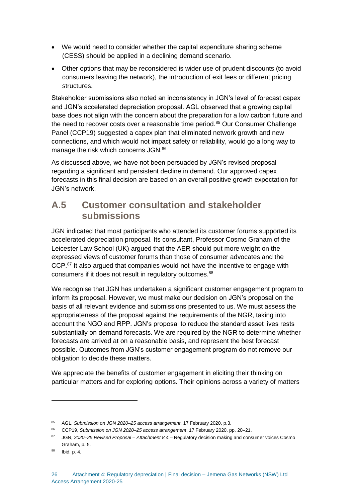- We would need to consider whether the capital expenditure sharing scheme (CESS) should be applied in a declining demand scenario.
- Other options that may be reconsidered is wider use of prudent discounts (to avoid consumers leaving the network), the introduction of exit fees or different pricing structures.

Stakeholder submissions also noted an inconsistency in JGN's level of forecast capex and JGN's accelerated depreciation proposal. AGL observed that a growing capital base does not align with the concern about the preparation for a low carbon future and the need to recover costs over a reasonable time period.<sup>85</sup> Our Consumer Challenge Panel (CCP19) suggested a capex plan that eliminated network growth and new connections, and which would not impact safety or reliability, would go a long way to manage the risk which concerns JGN.<sup>86</sup>

As discussed above, we have not been persuaded by JGN's revised proposal regarding a significant and persistent decline in demand. Our approved capex forecasts in this final decision are based on an overall positive growth expectation for JGN's network.

## <span id="page-26-0"></span>**A.5 Customer consultation and stakeholder submissions**

JGN indicated that most participants who attended its customer forums supported its accelerated depreciation proposal. Its consultant, Professor Cosmo Graham of the Leicester Law School (UK) argued that the AER should put more weight on the expressed views of customer forums than those of consumer advocates and the CCP.<sup>87</sup> It also argued that companies would not have the incentive to engage with consumers if it does not result in regulatory outcomes.<sup>88</sup>

We recognise that JGN has undertaken a significant customer engagement program to inform its proposal. However, we must make our decision on JGN's proposal on the basis of all relevant evidence and submissions presented to us. We must assess the appropriateness of the proposal against the requirements of the NGR, taking into account the NGO and RPP. JGN's proposal to reduce the standard asset lives rests substantially on demand forecasts. We are required by the NGR to determine whether forecasts are arrived at on a reasonable basis, and represent the best forecast possible. Outcomes from JGN's customer engagement program do not remove our obligation to decide these matters.

We appreciate the benefits of customer engagement in eliciting their thinking on particular matters and for exploring options. Their opinions across a variety of matters

 $\overline{a}$ 

<sup>85</sup> AGL, *Submission on JGN 2020–25 access arrangement*, 17 February 2020, p.3.

<sup>86</sup> CCP19, *Submission on JGN 2020–25 access arrangement*, 17 February 2020. pp. 20–21.

<sup>87</sup> JGN, *2020–25 Revised Proposal – Attachment 8.4* – Regulatory decision making and consumer voices Cosmo Graham, p. 5.

<sup>88</sup> Ibid. p. 4.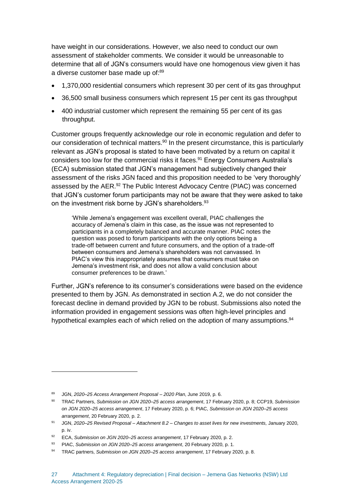have weight in our considerations. However, we also need to conduct our own assessment of stakeholder comments. We consider it would be unreasonable to determine that all of JGN's consumers would have one homogenous view given it has a diverse customer base made up of:<sup>89</sup>

- 1,370,000 residential consumers which represent 30 per cent of its gas throughput
- 36,500 small business consumers which represent 15 per cent its gas throughput
- 400 industrial customer which represent the remaining 55 per cent of its gas throughput.

Customer groups frequently acknowledge our role in economic regulation and defer to our consideration of technical matters.<sup>90</sup> In the present circumstance, this is particularly relevant as JGN's proposal is stated to have been motivated by a return on capital it considers too low for the commercial risks it faces.<sup>91</sup> Energy Consumers Australia's (ECA) submission stated that JGN's management had subjectively changed their assessment of the risks JGN faced and this proposition needed to be 'very thoroughly' assessed by the AER.<sup>92</sup> The Public Interest Advocacy Centre (PIAC) was concerned that JGN's customer forum participants may not be aware that they were asked to take on the investment risk borne by JGN's shareholders.<sup>93</sup>

'While Jemena's engagement was excellent overall, PIAC challenges the accuracy of Jemena's claim in this case, as the issue was not represented to participants in a completely balanced and accurate manner. PIAC notes the question was posed to forum participants with the only options being a trade-off between current and future consumers, and the option of a trade-off between consumers and Jemena's shareholders was not canvassed. In PIAC's view this inappropriately assumes that consumers must take on Jemena's investment risk, and does not allow a valid conclusion about consumer preferences to be drawn.'

Further, JGN's reference to its consumer's considerations were based on the evidence presented to them by JGN. As demonstrated in section A.2, we do not consider the forecast decline in demand provided by JGN to be robust. Submissions also noted the information provided in engagement sessions was often high-level principles and hypothetical examples each of which relied on the adoption of many assumptions.<sup>94</sup>

<sup>93</sup> PIAC, *Submission on JGN 2020–25 access arrangement*, 20 February 2020, p. 1.

<sup>89</sup> JGN, *2020–25 Access Arrangement Proposal – 2020 Plan*, June 2019, p. 6.

<sup>90</sup> TRAC Partners, *Submission on JGN 2020–25 access arrangement*, 17 February 2020, p. 8; CCP19, *Submission on JGN 2020–25 access arrangement*, 17 February 2020, p. 6; PIAC, *Submission on JGN 2020–25 access arrangement*, 20 February 2020, p. 2.

<sup>91</sup> JGN, *2020–25 Revised Proposal – Attachment 8.2 – Changes to asset lives for new investments,* January 2020, p. iv.

<sup>92</sup> ECA, *Submission on JGN 2020–25 access arrangement*, 17 February 2020, p. 2.

<sup>94</sup> TRAC partners, *Submission on JGN 2020–25 access arrangement*, 17 February 2020, p. 8.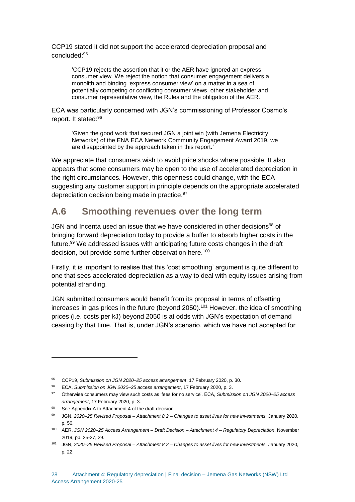CCP19 stated it did not support the accelerated depreciation proposal and concluded:<sup>95</sup>

'CCP19 rejects the assertion that it or the AER have ignored an express consumer view. We reject the notion that consumer engagement delivers a monolith and binding 'express consumer view' on a matter in a sea of potentially competing or conflicting consumer views, other stakeholder and consumer representative view, the Rules and the obligation of the AER.'

ECA was particularly concerned with JGN's commissioning of Professor Cosmo's report. It stated:<sup>96</sup>

'Given the good work that secured JGN a joint win (with Jemena Electricity Networks) of the ENA ECA Network Community Engagement Award 2019, we are disappointed by the approach taken in this report.'

We appreciate that consumers wish to avoid price shocks where possible. It also appears that some consumers may be open to the use of accelerated depreciation in the right circumstances. However, this openness could change, with the ECA suggesting any customer support in principle depends on the appropriate accelerated depreciation decision being made in practice.<sup>97</sup>

## <span id="page-28-0"></span>**A.6 Smoothing revenues over the long term**

JGN and Incenta used an issue that we have considered in other decisions<sup>98</sup> of bringing forward depreciation today to provide a buffer to absorb higher costs in the future.<sup>99</sup> We addressed issues with anticipating future costs changes in the draft decision, but provide some further observation here.<sup>100</sup>

Firstly, it is important to realise that this 'cost smoothing' argument is quite different to one that sees accelerated depreciation as a way to deal with equity issues arising from potential stranding.

JGN submitted consumers would benefit from its proposal in terms of offsetting increases in gas prices in the future (beyond 2050). <sup>101</sup> However, the idea of smoothing prices (i.e. costs per kJ) beyond 2050 is at odds with JGN's expectation of demand ceasing by that time. That is, under JGN's scenario, which we have not accepted for

<sup>95</sup> CCP19, *Submission on JGN 2020–25 access arrangement*, 17 February 2020, p. 30.

<sup>96</sup> ECA, *Submission on JGN 2020–25 access arrangement*, 17 February 2020, p. 3.

<sup>97</sup> Otherwise consumers may view such costs as 'fees for no service'. ECA, *Submission on JGN 2020–25 access arrangement*, 17 February 2020, p. 3.

<sup>98</sup> See Appendix A to Attachment 4 of the draft decision.

<sup>99</sup> JGN, *2020–25 Revised Proposal – Attachment 8.2 – Changes to asset lives for new investments,* January 2020, p. 50.

<sup>100</sup> AER, *JGN 2020–25 Access Arrangement – Draft Decision – Attachment 4 – Regulatory Depreciation*, November 2019, pp. 25-27, 29.

<sup>101</sup> JGN, *2020–25 Revised Proposal – Attachment 8.2 – Changes to asset lives for new investments,* January 2020, p. 22.